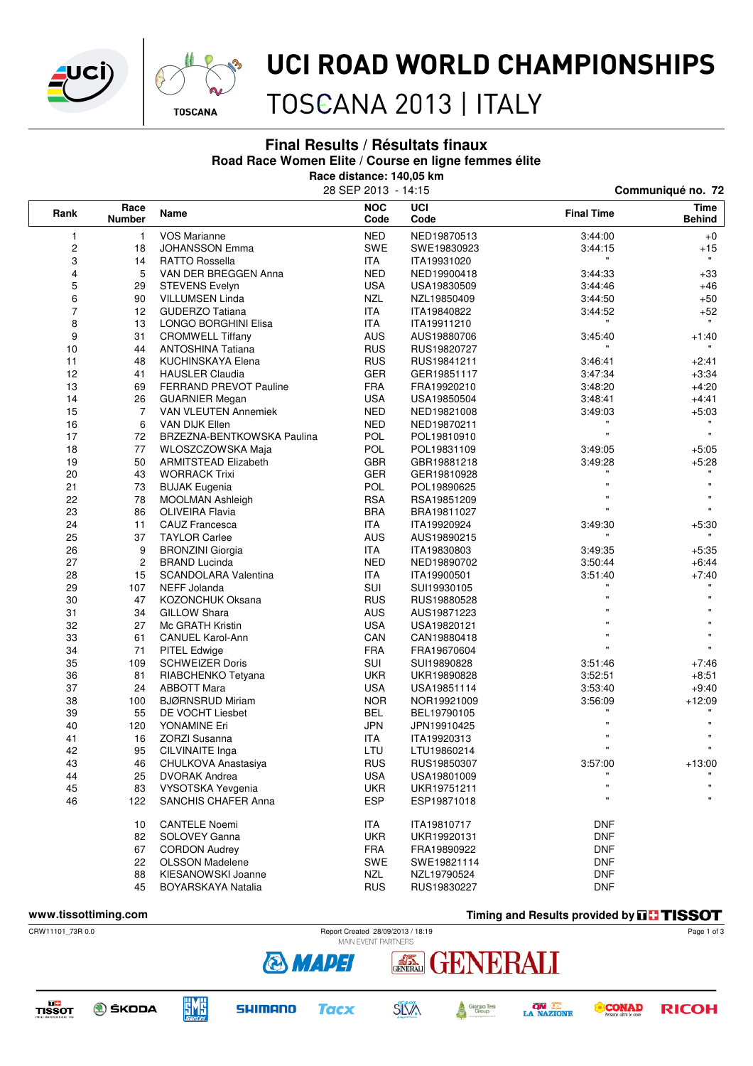



## UCI ROAD WORLD CHAMPIONSHIPS

TOSCANA 2013 | ITALY

#### **Final Results / Résultats finaux**

**Road Race Women Elite / Course en ligne femmes élite**

**Race distance: 140,05 km** 

|                               |                |                            | 28 SEP 2013 - 14:15 |             | Communiqué no. 72  |                       |  |
|-------------------------------|----------------|----------------------------|---------------------|-------------|--------------------|-----------------------|--|
| Race<br>Rank<br><b>Number</b> |                | Name                       | <b>NOC</b><br>Code  | UCI<br>Code | <b>Final Time</b>  | Time<br><b>Behind</b> |  |
| 1                             | 1              | <b>VOS Marianne</b>        | <b>NED</b>          | NED19870513 | 3:44:00            | $+0$                  |  |
| $\mathbf 2$                   | 18             | <b>JOHANSSON Emma</b>      | SWE                 | SWE19830923 | 3:44:15            | $+15$                 |  |
| 3                             | 14             | <b>RATTO Rossella</b>      | <b>ITA</b>          | ITA19931020 | $\mathbf{H}$       | $\mathbf{H}$          |  |
| 4                             | 5              | VAN DER BREGGEN Anna       | <b>NED</b>          | NED19900418 | 3:44:33            | $+33$                 |  |
| 5                             | 29             | <b>STEVENS Evelyn</b>      | <b>USA</b>          | USA19830509 | 3:44:46            | $+46$                 |  |
| 6                             | 90             | <b>VILLUMSEN Linda</b>     | <b>NZL</b>          | NZL19850409 | 3:44:50            | $+50$                 |  |
| $\overline{7}$                | 12             | <b>GUDERZO Tatiana</b>     | <b>ITA</b>          | ITA19840822 | 3:44:52            | $+52$                 |  |
| 8                             | 13             | LONGO BORGHINI Elisa       | <b>ITA</b>          | ITA19911210 |                    |                       |  |
| 9                             | 31             | <b>CROMWELL Tiffany</b>    | AUS                 | AUS19880706 | 3:45:40            | $+1:40$               |  |
| 10                            | 44             | <b>ANTOSHINA Tatiana</b>   | <b>RUS</b>          | RUS19820727 | $\mathbf{H}$       |                       |  |
| 11                            | 48             | KUCHINSKAYA Elena          | <b>RUS</b>          | RUS19841211 | 3:46:41            | $+2:41$               |  |
| 12                            | 41             | <b>HAUSLER Claudia</b>     | <b>GER</b>          | GER19851117 | 3:47:34            | $+3:34$               |  |
| 13                            | 69             | FERRAND PREVOT Pauline     | <b>FRA</b>          | FRA19920210 | 3:48:20            | $+4:20$               |  |
| 14                            | 26             | <b>GUARNIER Megan</b>      | <b>USA</b>          | USA19850504 | 3:48:41            | $+4:41$               |  |
| 15                            | 7              | VAN VLEUTEN Annemiek       | <b>NED</b>          | NED19821008 | 3:49:03            | $+5:03$               |  |
| 16                            | 6              | VAN DIJK Ellen             | <b>NED</b>          | NED19870211 |                    |                       |  |
| 17                            | 72             | BRZEZNA-BENTKOWSKA Paulina | <b>POL</b>          | POL19810910 | $\bar{\mathbf{u}}$ | $\mathbf{u}$          |  |
| 18                            | 77             | WLOSZCZOWSKA Maja          | <b>POL</b>          | POL19831109 | 3:49:05            | $+5:05$               |  |
| 19                            | 50             | ARMITSTEAD Elizabeth       | GBR                 | GBR19881218 | 3:49:28            | $+5.28$               |  |
| 20                            | 43             | <b>WORRACK Trixi</b>       | <b>GER</b>          | GER19810928 |                    |                       |  |
| 21                            | 73             | <b>BUJAK Eugenia</b>       | <b>POL</b>          | POL19890625 | $\mathbf{u}$       | w                     |  |
| 22                            | 78             | <b>MOOLMAN Ashleigh</b>    | <b>RSA</b>          | RSA19851209 | $\mathbf{u}$       |                       |  |
| 23                            | 86             | <b>OLIVEIRA Flavia</b>     | <b>BRA</b>          | BRA19811027 | $\mathbf{u}$       | $\mathbf{H}$          |  |
| 24                            | 11             | CAUZ Francesca             | <b>ITA</b>          | ITA19920924 | 3:49:30            | $+5:30$               |  |
| 25                            | 37             | <b>TAYLOR Carlee</b>       | AUS                 | AUS19890215 | $\pmb{\mathsf{H}}$ | н.                    |  |
| 26                            | 9              | <b>BRONZINI Giorgia</b>    | <b>ITA</b>          | ITA19830803 | 3:49:35            | $+5.35$               |  |
| 27                            | $\overline{c}$ | <b>BRAND Lucinda</b>       | <b>NED</b>          | NED19890702 | 3:50:44            | $+6:44$               |  |
| 28                            | 15             | SCANDOLARA Valentina       | <b>ITA</b>          | ITA19900501 | 3:51:40            | $+7:40$               |  |
| 29                            | 107            | NEFF Jolanda               | <b>SUI</b>          | SUI19930105 | w.                 | $\mathbf{H}$          |  |
| 30                            | 47             | <b>KOZONCHUK Oksana</b>    | <b>RUS</b>          | RUS19880528 |                    |                       |  |
| 31                            | 34             | <b>GILLOW Shara</b>        | <b>AUS</b>          | AUS19871223 |                    |                       |  |
| 32                            | 27             | Mc GRATH Kristin           | <b>USA</b>          | USA19820121 | $\mathbf{u}$       |                       |  |
| 33                            | 61             | <b>CANUEL Karol-Ann</b>    | CAN                 | CAN19880418 | $\mathbf{u}$       | $\mathbf{u}$          |  |
| 34                            | 71             | PITEL Edwige               | <b>FRA</b>          | FRA19670604 | $\mathbf{u}$       | $\mathbf{u}$          |  |
| 35                            | 109            | <b>SCHWEIZER Doris</b>     | SUI                 | SUI19890828 | 3:51:46            | $+7:46$               |  |
| 36                            | 81             | RIABCHENKO Tetyana         | UKR                 | UKR19890828 | 3:52:51            | $+8.51$               |  |
| 37                            | 24             | <b>ABBOTT Mara</b>         | <b>USA</b>          | USA19851114 | 3:53:40            | $+9:40$               |  |
| 38                            | 100            | <b>BJØRNSRUD Miriam</b>    | <b>NOR</b>          | NOR19921009 | 3:56:09            | $+12:09$              |  |
| 39                            | 55             | DE VOCHT Liesbet           | <b>BEL</b>          | BEL19790105 |                    |                       |  |
| 40                            | 120            | YONAMINE Eri               | <b>JPN</b>          | JPN19910425 |                    |                       |  |
| 41                            | 16             | <b>ZORZI Susanna</b>       | <b>ITA</b>          | ITA19920313 |                    | $\pmb{\mathsf{H}}$    |  |
| 42                            | 95             | CILVINAITE Inga            | LTU                 | LTU19860214 | $\mathbf{u}$       | $\mathbf{u}$          |  |
| 43                            | 46             | CHULKOVA Anastasiya        | <b>RUS</b>          | RUS19850307 | 3:57:00            | $+13:00$              |  |
| 44                            | 25             | <b>DVORAK Andrea</b>       | <b>USA</b>          | USA19801009 |                    |                       |  |
| 45                            | 83             | VYSOTSKA Yevgenia          | <b>UKR</b>          | UKR19751211 | $\mathbf{u}$       |                       |  |
| 46                            | 122            | SANCHIS CHAFER Anna        | <b>ESP</b>          | ESP19871018 | $\mathbf{u}$       | $\pmb{\mathsf{H}}$    |  |
|                               | 10             | <b>CANTELE Noemi</b>       | ITA                 | ITA19810717 | <b>DNF</b>         |                       |  |
|                               | 82             | SOLOVEY Ganna              | <b>UKR</b>          | UKR19920131 | <b>DNF</b>         |                       |  |
|                               | 67             | <b>CORDON Audrey</b>       | <b>FRA</b>          | FRA19890922 | <b>DNF</b>         |                       |  |
|                               | 22             | <b>OLSSON Madelene</b>     | SWE                 | SWE19821114 | <b>DNF</b>         |                       |  |
|                               | 88             | KIESANOWSKI Joanne         | NZL                 | NZL19790524 | <b>DNF</b>         |                       |  |
|                               | 45             | BOYARSKAYA Natalia         | <b>RUS</b>          | RUS19830227 | <b>DNF</b>         |                       |  |

**www.tissottiming.com Timing and Results provided by THSSOT** 



TISSOT

**O** ŠKODA

**EME** 



**& MAPEI** 







Page 1 of 3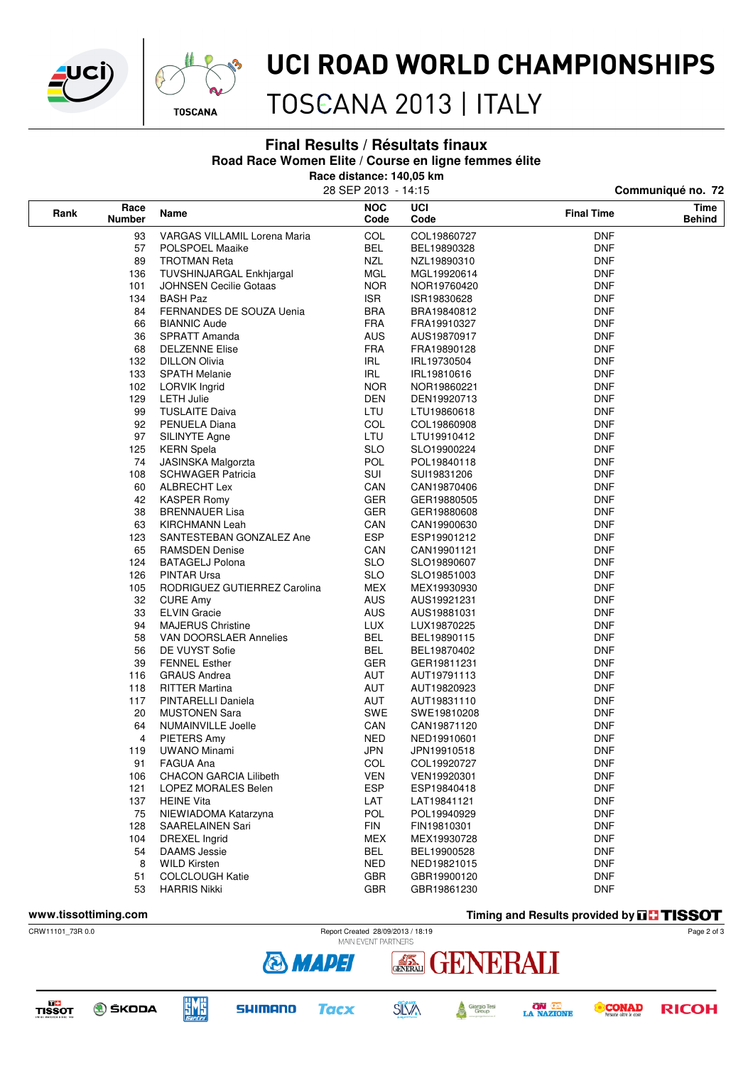



## UCI ROAD WORLD CHAMPIONSHIPS

TOSCANA 2013 | ITALY

**Final Results / Résultats finaux**

**Road Race Women Elite / Course en ligne femmes élite**

**Race distance: 140,05 km**

|      |                                      |                                     | 28 SEP 2013 - 14:15 |             | Communiqué no. 72 |                       |  |
|------|--------------------------------------|-------------------------------------|---------------------|-------------|-------------------|-----------------------|--|
| Rank | Race<br><b>Number</b>                | Name                                | <b>NOC</b><br>Code  | UCI<br>Code | <b>Final Time</b> | Time<br><b>Behind</b> |  |
| 93   |                                      | <b>VARGAS VILLAMIL Lorena Maria</b> | COL                 | COL19860727 | DNF               |                       |  |
|      | 57                                   | POLSPOEL Maaike                     | BEL                 | BEL19890328 | <b>DNF</b>        |                       |  |
|      | 89                                   | <b>TROTMAN Reta</b>                 | <b>NZL</b>          | NZL19890310 | <b>DNF</b>        |                       |  |
| 136  |                                      | TUVSHINJARGAL Enkhjargal            | <b>MGL</b>          | MGL19920614 | <b>DNF</b>        |                       |  |
|      | 101<br><b>JOHNSEN Cecilie Gotaas</b> |                                     | <b>NOR</b>          | NOR19760420 | <b>DNF</b>        |                       |  |
|      | 134                                  | <b>BASH Paz</b>                     | <b>ISR</b>          | ISR19830628 | <b>DNF</b>        |                       |  |
|      | 84                                   | FERNANDES DE SOUZA Uenia            | <b>BRA</b>          | BRA19840812 | <b>DNF</b>        |                       |  |
|      | 66                                   | <b>BIANNIC Aude</b>                 | <b>FRA</b>          | FRA19910327 | <b>DNF</b>        |                       |  |
|      | 36                                   | SPRATT Amanda                       | <b>AUS</b>          | AUS19870917 | <b>DNF</b>        |                       |  |
|      | 68                                   | <b>DELZENNE Elise</b>               | <b>FRA</b>          | FRA19890128 | <b>DNF</b>        |                       |  |
|      | 132                                  | <b>DILLON Olivia</b>                | IRL                 | IRL19730504 | <b>DNF</b>        |                       |  |
|      | 133                                  | <b>SPATH Melanie</b>                | <b>IRL</b>          | IRL19810616 | <b>DNF</b>        |                       |  |
|      | 102                                  | <b>LORVIK Ingrid</b>                | <b>NOR</b>          | NOR19860221 | <b>DNF</b>        |                       |  |
|      | 129                                  | <b>LETH Julie</b>                   | <b>DEN</b>          | DEN19920713 | <b>DNF</b>        |                       |  |
|      | 99                                   | <b>TUSLAITE Daiva</b>               | LTU                 | LTU19860618 | <b>DNF</b>        |                       |  |
|      | 92                                   | PENUELA Diana                       | COL                 | COL19860908 | <b>DNF</b>        |                       |  |
|      | 97                                   | SILINYTE Agne                       | LTU                 | LTU19910412 | <b>DNF</b>        |                       |  |
|      | 125                                  | <b>KERN</b> Spela                   | <b>SLO</b>          | SLO19900224 | <b>DNF</b>        |                       |  |
|      | 74                                   | <b>JASINSKA Malgorzta</b>           | <b>POL</b>          | POL19840118 | <b>DNF</b>        |                       |  |
|      | 108                                  | <b>SCHWAGER Patricia</b>            | SUI                 | SUI19831206 | <b>DNF</b>        |                       |  |
|      | 60                                   | ALBRECHT Lex                        | CAN                 | CAN19870406 | <b>DNF</b>        |                       |  |
|      | 42                                   | <b>KASPER Romy</b>                  | <b>GER</b>          | GER19880505 | <b>DNF</b>        |                       |  |
|      | 38                                   | <b>BRENNAUER Lisa</b>               | <b>GER</b>          | GER19880608 | <b>DNF</b>        |                       |  |
|      | 63                                   | KIRCHMANN Leah                      | CAN                 | CAN19900630 | <b>DNF</b>        |                       |  |
|      | 123                                  | SANTESTEBAN GONZALEZ Ane            | <b>ESP</b>          | ESP19901212 | <b>DNF</b>        |                       |  |
|      | 65                                   | <b>RAMSDEN Denise</b>               | CAN                 | CAN19901121 | <b>DNF</b>        |                       |  |
|      | 124                                  | <b>BATAGELJ Polona</b>              | <b>SLO</b>          | SLO19890607 | <b>DNF</b>        |                       |  |
|      | 126                                  | PINTAR Ursa                         | <b>SLO</b>          | SLO19851003 | <b>DNF</b>        |                       |  |
|      | 105                                  | RODRIGUEZ GUTIERREZ Carolina        | MEX                 | MEX19930930 | <b>DNF</b>        |                       |  |
|      | 32                                   | <b>CURE Amy</b>                     | <b>AUS</b>          | AUS19921231 | <b>DNF</b>        |                       |  |
|      | 33                                   | <b>ELVIN Gracie</b>                 | <b>AUS</b>          | AUS19881031 | <b>DNF</b>        |                       |  |
|      | 94                                   | <b>MAJERUS Christine</b>            | LUX.                | LUX19870225 | <b>DNF</b>        |                       |  |
|      | 58                                   | VAN DOORSLAER Annelies              | <b>BEL</b>          | BEL19890115 | <b>DNF</b>        |                       |  |
|      | 56                                   | DE VUYST Sofie                      | BEL                 | BEL19870402 | <b>DNF</b>        |                       |  |
|      | 39                                   | <b>FENNEL Esther</b>                | <b>GER</b>          | GER19811231 | <b>DNF</b>        |                       |  |
|      | 116                                  | <b>GRAUS Andrea</b>                 | AUT                 | AUT19791113 | <b>DNF</b>        |                       |  |
|      | 118                                  | <b>RITTER Martina</b>               | AUT                 | AUT19820923 | <b>DNF</b>        |                       |  |
|      | 117                                  | PINTARELLI Daniela                  | AUT                 | AUT19831110 | <b>DNF</b>        |                       |  |
|      | 20                                   | <b>MUSTONEN Sara</b>                | SWE                 | SWE19810208 | <b>DNF</b>        |                       |  |
|      | 64                                   | <b>NUMAINVILLE Joelle</b>           | CAN                 | CAN19871120 | <b>DNF</b>        |                       |  |
|      | 4                                    | PIETERS Amy                         | <b>NED</b>          | NED19910601 | <b>DNF</b>        |                       |  |
|      | 119                                  | <b>UWANO Minami</b>                 | <b>JPN</b>          | JPN19910518 | <b>DNF</b>        |                       |  |
|      | 91                                   | FAGUA Ana                           | COL                 | COL19920727 | <b>DNF</b>        |                       |  |
|      | 106                                  | <b>CHACON GARCIA Lilibeth</b>       | <b>VEN</b>          | VEN19920301 | <b>DNF</b>        |                       |  |
|      | 121                                  | LOPEZ MORALES Belen                 | <b>ESP</b>          | ESP19840418 | <b>DNF</b>        |                       |  |
|      | 137                                  | <b>HEINE Vita</b>                   | LAT                 | LAT19841121 | <b>DNF</b>        |                       |  |
|      | 75                                   | NIEWIADOMA Katarzyna                | <b>POL</b>          | POL19940929 | <b>DNF</b>        |                       |  |
|      | 128                                  | SAARELAINEN Sari                    | <b>FIN</b>          | FIN19810301 | <b>DNF</b>        |                       |  |
|      | 104                                  | <b>DREXEL Ingrid</b>                | MEX                 | MEX19930728 | <b>DNF</b>        |                       |  |
|      | 54                                   | <b>DAAMS</b> Jessie                 | <b>BEL</b>          | BEL19900528 | <b>DNF</b>        |                       |  |
|      | 8                                    | <b>WILD Kirsten</b>                 | <b>NED</b>          | NED19821015 | <b>DNF</b>        |                       |  |
|      | 51                                   | <b>COLCLOUGH Katie</b>              | GBR                 | GBR19900120 | <b>DNF</b>        |                       |  |
|      | 53                                   | <b>HARRIS Nikki</b>                 | <b>GBR</b>          | GBR19861230 | <b>DNF</b>        |                       |  |
|      |                                      |                                     |                     |             |                   |                       |  |

**www.tissottiming.com Timing and Results provided by THSSOT** 



TISSOT





**& MAPEI** 



GENERALI



ENERALI



Page 2 of 3